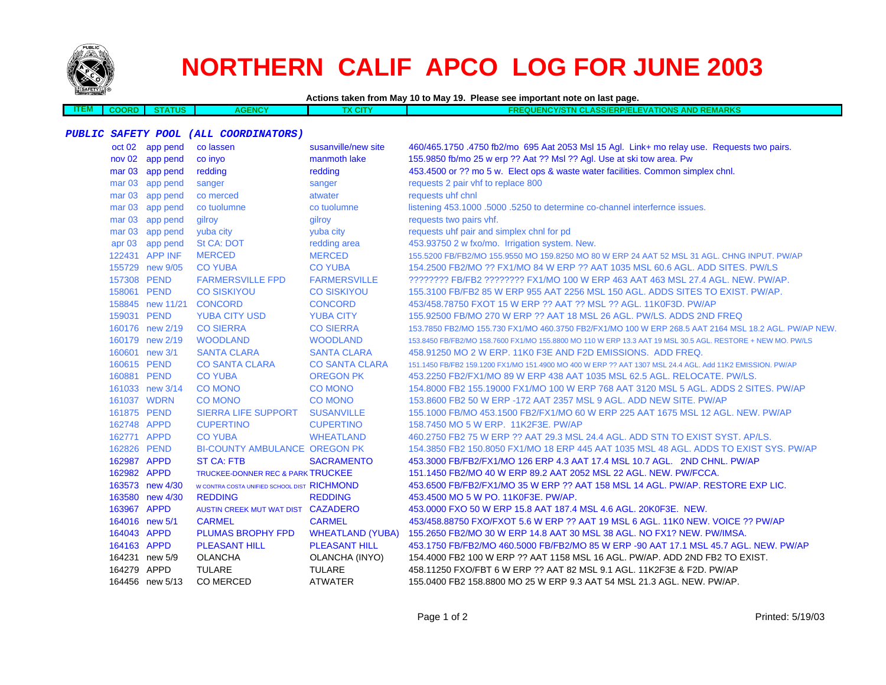

# **NORTHERN CALIF APCO LOG FOR JUNE 2003**

**Actions taken from May 10 to May 19. Please see important note on last page.**

**ITEM COORD STATUSAGENCY TX CITY FREQUENCY/STN CLASS/ERP/ELEVATIONS AND REMARKS**

## **PUBLIC SAFETY POOL (ALL COORDINATORS)**

|                   | oct 02 app pend  | co lassen                                   | susanville/new site     | 460/465.1750 .4750 fb2/mo 695 Aat 2053 Msl 15 Agl. Link+ mo relay use. Requests two pairs.                 |
|-------------------|------------------|---------------------------------------------|-------------------------|------------------------------------------------------------------------------------------------------------|
|                   | nov 02 app pend  | co invo                                     | manmoth lake            | 155.9850 fb/mo 25 w erp ?? Aat ?? Msl ?? Agl. Use at ski tow area. Pw                                      |
|                   | mar 03 app pend  | redding                                     | redding                 | 453.4500 or ?? mo 5 w. Elect ops & waste water facilities. Common simplex chnl.                            |
| mar <sub>03</sub> | app pend         | sanger                                      | sanger                  | requests 2 pair vhf to replace 800                                                                         |
| mar <sub>03</sub> | app pend         | co merced                                   | atwater                 | requests uhf chnl                                                                                          |
| mar <sub>03</sub> | app pend         | co tuolumne                                 | co tuolumne             | listening 453.1000 .5000 .5250 to determine co-channel interfernce issues.                                 |
| mar <sub>03</sub> | app pend         | gilroy                                      | gilroy                  | requests two pairs vhf.                                                                                    |
| mar <sub>03</sub> | app pend         | yuba city                                   | yuba city               | requests uhf pair and simplex chnl for pd                                                                  |
|                   | apr 03 app pend  | <b>St CA: DOT</b>                           | redding area            | 453.93750 2 w fxo/mo. Irrigation system. New.                                                              |
|                   | 122431 APP INF   | <b>MERCED</b>                               | <b>MERCED</b>           | 155.5200 FB/FB2/MO 155.9550 MO 159.8250 MO 80 W ERP 24 AAT 52 MSL 31 AGL. CHNG INPUT. PW/AP                |
|                   | 155729 new 9/05  | <b>CO YUBA</b>                              | <b>CO YUBA</b>          | 154,2500 FB2/MO ?? FX1/MO 84 W ERP ?? AAT 1035 MSL 60.6 AGL, ADD SITES, PW/LS                              |
|                   | 157308 PEND      | <b>FARMERSVILLE FPD</b>                     | <b>FARMERSVILLE</b>     | ???????? FB/FB2 ???????? FX1/MO 100 W ERP 463 AAT 463 MSL 27.4 AGL. NEW. PW/AP.                            |
|                   | 158061 PEND      | <b>CO SISKIYOU</b>                          | <b>CO SISKIYOU</b>      | 155.3100 FB/FB2 85 W ERP 955 AAT 2256 MSL 150 AGL. ADDS SITES TO EXIST. PW/AP.                             |
|                   | 158845 new 11/21 | <b>CONCORD</b>                              | <b>CONCORD</b>          | 453/458.78750 FXOT 15 W ERP ?? AAT ?? MSL ?? AGL, 11K0F3D, PW/AP                                           |
|                   | 159031 PEND      | <b>YUBA CITY USD</b>                        | <b>YUBA CITY</b>        | 155.92500 FB/MO 270 W ERP ?? AAT 18 MSL 26 AGL. PW/LS. ADDS 2ND FREQ                                       |
|                   | 160176 new 2/19  | <b>CO SIERRA</b>                            | <b>CO SIERRA</b>        | 153.7850 FB2/MO 155.730 FX1/MO 460.3750 FB2/FX1/MO 100 W ERP 268.5 AAT 2164 MSL 18.2 AGL. PW/AP NEW.       |
|                   | 160179 new 2/19  | <b>WOODLAND</b>                             | <b>WOODLAND</b>         | 153.8450 FB/FB2/MO 158.7600 FX1/MO 155.8800 MO 110 W ERP 13.3 AAT 19 MSL 30.5 AGL. RESTORE + NEW MO. PW/LS |
|                   | 160601 new 3/1   | <b>SANTA CLARA</b>                          | <b>SANTA CLARA</b>      | 458,91250 MO 2 W ERP, 11K0 F3E AND F2D EMISSIONS. ADD FREQ.                                                |
|                   | 160615 PEND      | <b>CO SANTA CLARA</b>                       | <b>CO SANTA CLARA</b>   | 151.1450 FB/FB2 159.1200 FX1/MO 151.4900 MO 400 W ERP ?? AAT 1307 MSL 24.4 AGL. Add 11K2 EMISSION. PW/AP   |
|                   | 160881 PEND      | <b>CO YUBA</b>                              | <b>OREGON PK</b>        | 453.2250 FB2/FX1/MO 89 W ERP 438 AAT 1035 MSL 62.5 AGL. RELOCATE. PW/LS.                                   |
|                   | 161033 new 3/14  | <b>CO MONO</b>                              | <b>CO MONO</b>          | 154,8000 FB2 155,19000 FX1/MO 100 W ERP 768 AAT 3120 MSL 5 AGL, ADDS 2 SITES, PW/AP                        |
|                   | 161037 WDRN      | <b>CO MONO</b>                              | <b>CO MONO</b>          | 153.8600 FB2 50 W ERP -172 AAT 2357 MSL 9 AGL. ADD NEW SITE, PW/AP                                         |
|                   | 161875 PEND      | <b>SIERRA LIFE SUPPORT</b>                  | <b>SUSANVILLE</b>       | 155.1000 FB/MO 453.1500 FB2/FX1/MO 60 W ERP 225 AAT 1675 MSL 12 AGL, NEW, PW/AP                            |
|                   | 162748 APPD      | <b>CUPERTINO</b>                            | <b>CUPERTINO</b>        | 158.7450 MO 5 W ERP. 11K2F3E, PW/AP                                                                        |
|                   | 162771 APPD      | <b>CO YUBA</b>                              | <b>WHEATLAND</b>        | 460.2750 FB2 75 W ERP ?? AAT 29.3 MSL 24.4 AGL. ADD STN TO EXIST SYST. AP/LS.                              |
|                   | 162826 PEND      | <b>BI-COUNTY AMBULANCE OREGON PK</b>        |                         | 154,3850 FB2 150,8050 FX1/MO 18 ERP 445 AAT 1035 MSL 48 AGL. ADDS TO EXIST SYS, PW/AP                      |
|                   | 162987 APPD      | <b>ST CA: FTB</b>                           | <b>SACRAMENTO</b>       | 453,3000 FB/FB2/FX1/MO 126 ERP 4.3 AAT 17.4 MSL 10.7 AGL. 2ND CHNL, PW/AP                                  |
|                   | 162982 APPD      | TRUCKEE-DONNER REC & PARK TRUCKEE           |                         | 151.1450 FB2/MO 40 W ERP 89.2 AAT 2052 MSL 22 AGL. NEW. PW/FCCA.                                           |
|                   | 163573 new 4/30  | W CONTRA COSTA UNIFIED SCHOOL DIST RICHMOND |                         | 453.6500 FB/FB2/FX1/MO 35 W ERP ?? AAT 158 MSL 14 AGL. PW/AP. RESTORE EXP LIC.                             |
|                   | 163580 new 4/30  | <b>REDDING</b>                              | <b>REDDING</b>          | 453.4500 MO 5 W PO. 11K0F3E, PW/AP.                                                                        |
|                   | 163967 APPD      | AUSTIN CREEK MUT WAT DIST CAZADERO          |                         | 453.0000 FXO 50 W ERP 15.8 AAT 187.4 MSL 4.6 AGL. 20K0F3E. NEW.                                            |
|                   | 164016 new 5/1   | <b>CARMEL</b>                               | <b>CARMEL</b>           | 453/458.88750 FXO/FXOT 5.6 W ERP ?? AAT 19 MSL 6 AGL. 11K0 NEW. VOICE ?? PW/AP                             |
|                   | 164043 APPD      | <b>PLUMAS BROPHY FPD</b>                    | <b>WHEATLAND (YUBA)</b> | 155.2650 FB2/MO 30 W ERP 14.8 AAT 30 MSL 38 AGL. NO FX1? NEW. PW/IMSA.                                     |
|                   | 164163 APPD      | <b>PLEASANT HILL</b>                        | <b>PLEASANT HILL</b>    | 453.1750 FB/FB2/MO 460.5000 FB/FB2/MO 85 W ERP -90 AAT 17.1 MSL 45.7 AGL. NEW. PW/AP                       |
|                   | 164231 new 5/9   | <b>OLANCHA</b>                              | OLANCHA (INYO)          | 154.4000 FB2 100 W ERP ?? AAT 1158 MSL 16 AGL. PW/AP. ADD 2ND FB2 TO EXIST.                                |
|                   | 164279 APPD      | <b>TULARE</b>                               | <b>TULARE</b>           | 458.11250 FXO/FBT 6 W ERP ?? AAT 82 MSL 9.1 AGL. 11K2F3E & F2D. PW/AP                                      |
|                   | 164456 new 5/13  | CO MERCED                                   | <b>ATWATER</b>          | 155.0400 FB2 158.8800 MO 25 W ERP 9.3 AAT 54 MSL 21.3 AGL. NEW. PW/AP.                                     |